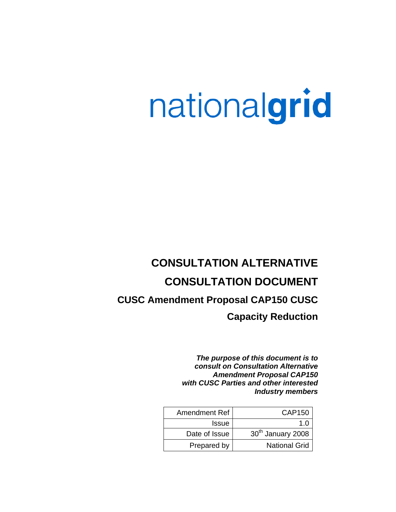# nationalgrid

# **CONSULTATION ALTERNATIVE CONSULTATION DOCUMENT CUSC Amendment Proposal CAP150 CUSC Capacity Reduction**

*The purpose of this document is to consult on Consultation Alternative Amendment Proposal CAP150 with CUSC Parties and other interested Industry members*

| Amendment Ref | CAP150                        |
|---------------|-------------------------------|
| <b>Issue</b>  |                               |
| Date of Issue | 30 <sup>th</sup> January 2008 |
| Prepared by   | <b>National Grid</b>          |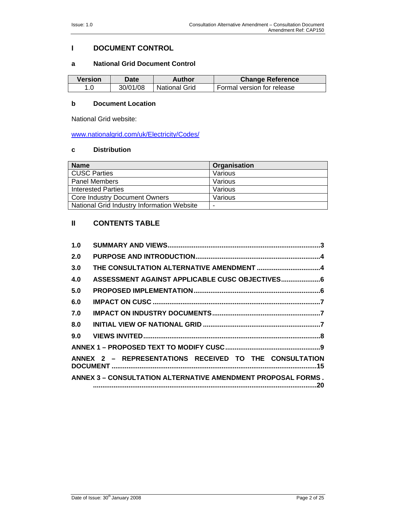# **I DOCUMENT CONTROL**

#### **a National Grid Document Control**

| Version | Date     | Author               | <b>Change Reference</b>    |
|---------|----------|----------------------|----------------------------|
|         | 30/01/08 | <b>National Grid</b> | Formal version for release |

### **b Document Location**

National Grid website:

www.nationalgrid.com/uk/Electricity/Codes/

#### **c Distribution**

| <b>Name</b>                                | Organisation |
|--------------------------------------------|--------------|
| <b>CUSC Parties</b>                        | Various      |
| <b>Panel Members</b>                       | Various      |
| <b>Interested Parties</b>                  | Various      |
| <b>Core Industry Document Owners</b>       | Various      |
| National Grid Industry Information Website | -            |

# **II CONTENTS TABLE**

| 1.0 |                                                                     |  |
|-----|---------------------------------------------------------------------|--|
| 2.0 |                                                                     |  |
| 3.0 | THE CONSULTATION ALTERNATIVE AMENDMENT 4                            |  |
| 4.0 | ASSESSMENT AGAINST APPLICABLE CUSC OBJECTIVES 6                     |  |
| 5.0 |                                                                     |  |
| 6.0 |                                                                     |  |
| 7.0 |                                                                     |  |
| 8.0 |                                                                     |  |
| 9.0 |                                                                     |  |
|     |                                                                     |  |
|     | ANNEX 2 - REPRESENTATIONS RECEIVED TO THE CONSULTATION              |  |
|     | <b>ANNEX 3 – CONSULTATION ALTERNATIVE AMENDMENT PROPOSAL FORMS.</b> |  |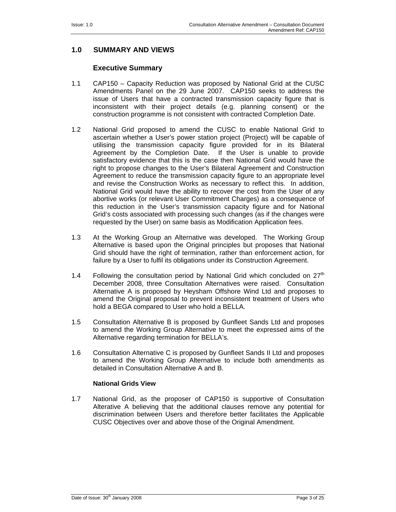# **1.0 SUMMARY AND VIEWS**

# **Executive Summary**

- 1.1 CAP150 Capacity Reduction was proposed by National Grid at the CUSC Amendments Panel on the 29 June 2007. CAP150 seeks to address the issue of Users that have a contracted transmission capacity figure that is inconsistent with their project details (e.g. planning consent) or the construction programme is not consistent with contracted Completion Date.
- 1.2 National Grid proposed to amend the CUSC to enable National Grid to ascertain whether a User's power station project (Project) will be capable of utilising the transmission capacity figure provided for in its Bilateral Agreement by the Completion Date. If the User is unable to provide satisfactory evidence that this is the case then National Grid would have the right to propose changes to the User's Bilateral Agreement and Construction Agreement to reduce the transmission capacity figure to an appropriate level and revise the Construction Works as necessary to reflect this. In addition, National Grid would have the ability to recover the cost from the User of any abortive works (or relevant User Commitment Charges) as a consequence of this reduction in the User's transmission capacity figure and for National Grid's costs associated with processing such changes (as if the changes were requested by the User) on same basis as Modification Application fees.
- 1.3 At the Working Group an Alternative was developed. The Working Group Alternative is based upon the Original principles but proposes that National Grid should have the right of termination, rather than enforcement action, for failure by a User to fulfil its obligations under its Construction Agreement.
- 1.4 Following the consultation period by National Grid which concluded on  $27<sup>th</sup>$ December 2008, three Consultation Alternatives were raised. Consultation Alternative A is proposed by Heysham Offshore Wind Ltd and proposes to amend the Original proposal to prevent inconsistent treatment of Users who hold a BEGA compared to User who hold a BELLA.
- 1.5 Consultation Alternative B is proposed by Gunfleet Sands Ltd and proposes to amend the Working Group Alternative to meet the expressed aims of the Alternative regarding termination for BELLA's.
- 1.6 Consultation Alternative C is proposed by Gunfleet Sands II Ltd and proposes to amend the Working Group Alternative to include both amendments as detailed in Consultation Alternative A and B.

#### **National Grids View**

1.7 National Grid, as the proposer of CAP150 is supportive of Consultation Alterative A believing that the additional clauses remove any potential for discrimination between Users and therefore better facilitates the Applicable CUSC Objectives over and above those of the Original Amendment.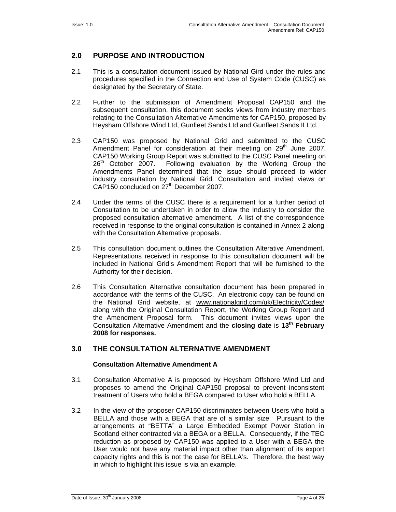# **2.0 PURPOSE AND INTRODUCTION**

- 2.1 This is a consultation document issued by National Gird under the rules and procedures specified in the Connection and Use of System Code (CUSC) as designated by the Secretary of State.
- 2.2 Further to the submission of Amendment Proposal CAP150 and the subsequent consultation, this document seeks views from industry members relating to the Consultation Alternative Amendments for CAP150, proposed by Heysham Offshore Wind Ltd, Gunfleet Sands Ltd and Gunfleet Sands II Ltd.
- 2.3 CAP150 was proposed by National Grid and submitted to the CUSC Amendment Panel for consideration at their meeting on  $29<sup>th</sup>$  June 2007. CAP150 Working Group Report was submitted to the CUSC Panel meeting on 26<sup>th</sup> October 2007. Following evaluation by the Working Group the Following evaluation by the Working Group the Amendments Panel determined that the issue should proceed to wider industry consultation by National Grid. Consultation and invited views on CAP150 concluded on 27<sup>th</sup> December 2007.
- 2.4 Under the terms of the CUSC there is a requirement for a further period of Consultation to be undertaken in order to allow the Industry to consider the proposed consultation alternative amendment. A list of the correspondence received in response to the original consultation is contained in Annex 2 along with the Consultation Alternative proposals.
- 2.5 This consultation document outlines the Consultation Alterative Amendment. Representations received in response to this consultation document will be included in National Grid's Amendment Report that will be furnished to the Authority for their decision.
- 2.6 This Consultation Alternative consultation document has been prepared in accordance with the terms of the CUSC. An electronic copy can be found on the National Grid website, at www.nationalgrid.com/uk/Electricity/Codes/ along with the Original Consultation Report, the Working Group Report and the Amendment Proposal form. This document invites views upon the Consultation Alternative Amendment and the **closing date** is **13th February 2008 for responses.**

# **3.0 THE CONSULTATION ALTERNATIVE AMENDMENT**

#### **Consultation Alternative Amendment A**

- 3.1 Consultation Alternative A is proposed by Heysham Offshore Wind Ltd and proposes to amend the Original CAP150 proposal to prevent inconsistent treatment of Users who hold a BEGA compared to User who hold a BELLA.
- 3.2 In the view of the proposer CAP150 discriminates between Users who hold a BELLA and those with a BEGA that are of a similar size. Pursuant to the arrangements at "BETTA" a Large Embedded Exempt Power Station in Scotland either contracted via a BEGA or a BELLA. Consequently, if the TEC reduction as proposed by CAP150 was applied to a User with a BEGA the User would not have any material impact other than alignment of its export capacity rights and this is not the case for BELLA's. Therefore, the best way in which to highlight this issue is via an example.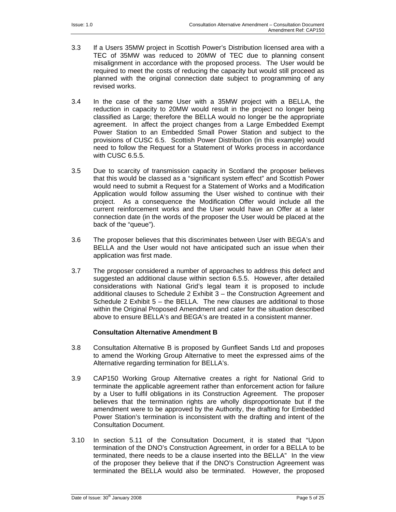- 3.3 If a Users 35MW project in Scottish Power's Distribution licensed area with a TEC of 35MW was reduced to 20MW of TEC due to planning consent misalignment in accordance with the proposed process. The User would be required to meet the costs of reducing the capacity but would still proceed as planned with the original connection date subject to programming of any revised works.
- 3.4 In the case of the same User with a 35MW project with a BELLA, the reduction in capacity to 20MW would result in the project no longer being classified as Large; therefore the BELLA would no longer be the appropriate agreement. In affect the project changes from a Large Embedded Exempt Power Station to an Embedded Small Power Station and subject to the provisions of CUSC 6.5. Scottish Power Distribution (in this example) would need to follow the Request for a Statement of Works process in accordance with CUSC 6.5.5.
- 3.5 Due to scarcity of transmission capacity in Scotland the proposer believes that this would be classed as a "significant system effect" and Scottish Power would need to submit a Request for a Statement of Works and a Modification Application would follow assuming the User wished to continue with their project. As a consequence the Modification Offer would include all the current reinforcement works and the User would have an Offer at a later connection date (in the words of the proposer the User would be placed at the back of the "queue").
- 3.6 The proposer believes that this discriminates between User with BEGA's and BELLA and the User would not have anticipated such an issue when their application was first made.
- 3.7 The proposer considered a number of approaches to address this defect and suggested an additional clause within section 6.5.5. However, after detailed considerations with National Grid's legal team it is proposed to include additional clauses to Schedule 2 Exhibit 3 – the Construction Agreement and Schedule 2 Exhibit 5 – the BELLA. The new clauses are additional to those within the Original Proposed Amendment and cater for the situation described above to ensure BELLA's and BEGA's are treated in a consistent manner.

#### **Consultation Alternative Amendment B**

- 3.8 Consultation Alternative B is proposed by Gunfleet Sands Ltd and proposes to amend the Working Group Alternative to meet the expressed aims of the Alternative regarding termination for BELLA's.
- 3.9 CAP150 Working Group Alternative creates a right for National Grid to terminate the applicable agreement rather than enforcement action for failure by a User to fulfil obligations in its Construction Agreement. The proposer believes that the termination rights are wholly disproportionate but if the amendment were to be approved by the Authority, the drafting for Embedded Power Station's termination is inconsistent with the drafting and intent of the Consultation Document.
- 3.10 In section 5.11 of the Consultation Document, it is stated that "Upon termination of the DNO's Construction Agreement, in order for a BELLA to be terminated, there needs to be a clause inserted into the BELLA" In the view of the proposer they believe that if the DNO's Construction Agreement was terminated the BELLA would also be terminated. However, the proposed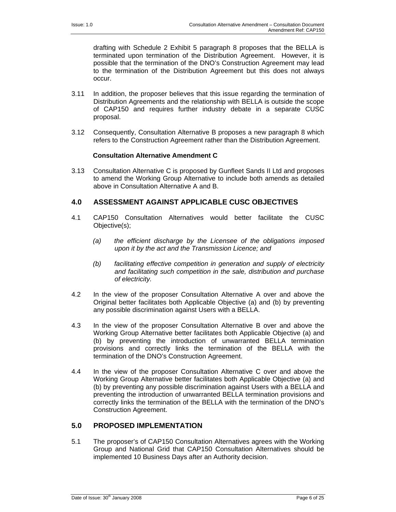drafting with Schedule 2 Exhibit 5 paragraph 8 proposes that the BELLA is terminated upon termination of the Distribution Agreement. However, it is possible that the termination of the DNO's Construction Agreement may lead to the termination of the Distribution Agreement but this does not always occur.

- 3.11 In addition, the proposer believes that this issue regarding the termination of Distribution Agreements and the relationship with BELLA is outside the scope of CAP150 and requires further industry debate in a separate CUSC proposal.
- 3.12 Consequently, Consultation Alternative B proposes a new paragraph 8 which refers to the Construction Agreement rather than the Distribution Agreement.

#### **Consultation Alternative Amendment C**

3.13 Consultation Alternative C is proposed by Gunfleet Sands II Ltd and proposes to amend the Working Group Alternative to include both amends as detailed above in Consultation Alternative A and B.

# **4.0 ASSESSMENT AGAINST APPLICABLE CUSC OBJECTIVES**

- 4.1 CAP150 Consultation Alternatives would better facilitate the CUSC Objective(s);
	- *(a) the efficient discharge by the Licensee of the obligations imposed upon it by the act and the Transmission Licence; and*
	- *(b) facilitating effective competition in generation and supply of electricity and facilitating such competition in the sale, distribution and purchase of electricity.*
- 4.2 In the view of the proposer Consultation Alternative A over and above the Original better facilitates both Applicable Objective (a) and (b) by preventing any possible discrimination against Users with a BELLA.
- 4.3 In the view of the proposer Consultation Alternative B over and above the Working Group Alternative better facilitates both Applicable Objective (a) and (b) by preventing the introduction of unwarranted BELLA termination provisions and correctly links the termination of the BELLA with the termination of the DNO's Construction Agreement.
- 4.4 In the view of the proposer Consultation Alternative C over and above the Working Group Alternative better facilitates both Applicable Objective (a) and (b) by preventing any possible discrimination against Users with a BELLA and preventing the introduction of unwarranted BELLA termination provisions and correctly links the termination of the BELLA with the termination of the DNO's Construction Agreement.

# **5.0 PROPOSED IMPLEMENTATION**

5.1 The proposer's of CAP150 Consultation Alternatives agrees with the Working Group and National Grid that CAP150 Consultation Alternatives should be implemented 10 Business Days after an Authority decision.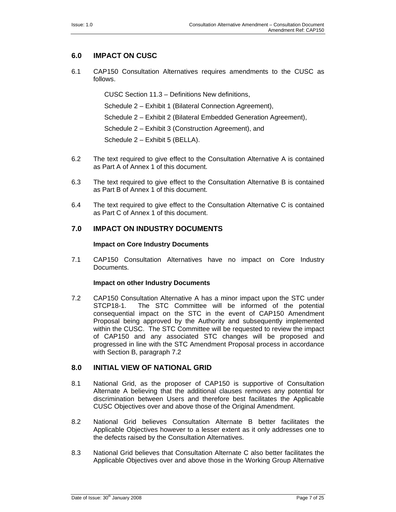# **6.0 IMPACT ON CUSC**

6.1 CAP150 Consultation Alternatives requires amendments to the CUSC as follows.

CUSC Section 11.3 – Definitions New definitions,

Schedule 2 – Exhibit 1 (Bilateral Connection Agreement),

Schedule 2 – Exhibit 2 (Bilateral Embedded Generation Agreement),

Schedule 2 – Exhibit 3 (Construction Agreement), and

Schedule 2 – Exhibit 5 (BELLA).

- 6.2 The text required to give effect to the Consultation Alternative A is contained as Part A of Annex 1 of this document.
- 6.3 The text required to give effect to the Consultation Alternative B is contained as Part B of Annex 1 of this document.
- 6.4 The text required to give effect to the Consultation Alternative C is contained as Part C of Annex 1 of this document.

# **7.0 IMPACT ON INDUSTRY DOCUMENTS**

#### **Impact on Core Industry Documents**

7.1 CAP150 Consultation Alternatives have no impact on Core Industry Documents.

#### **Impact on other Industry Documents**

7.2 CAP150 Consultation Alternative A has a minor impact upon the STC under STCP18-1. The STC Committee will be informed of the potential consequential impact on the STC in the event of CAP150 Amendment Proposal being approved by the Authority and subsequently implemented within the CUSC. The STC Committee will be requested to review the impact of CAP150 and any associated STC changes will be proposed and progressed in line with the STC Amendment Proposal process in accordance with Section B, paragraph 7.2

#### **8.0 INITIAL VIEW OF NATIONAL GRID**

- 8.1 National Grid, as the proposer of CAP150 is supportive of Consultation Alternate A believing that the additional clauses removes any potential for discrimination between Users and therefore best facilitates the Applicable CUSC Objectives over and above those of the Original Amendment.
- 8.2 National Grid believes Consultation Alternate B better facilitates the Applicable Objectives however to a lesser extent as it only addresses one to the defects raised by the Consultation Alternatives.
- 8.3 National Grid believes that Consultation Alternate C also better facilitates the Applicable Objectives over and above those in the Working Group Alternative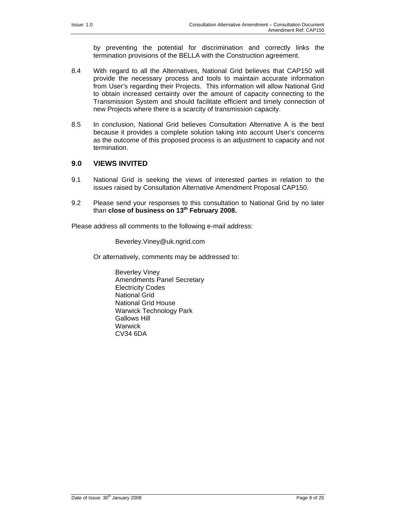by preventing the potential for discrimination and correctly links the termination provisions of the BELLA with the Construction agreement.

- 8.4 With regard to all the Alternatives, National Grid believes that CAP150 will provide the necessary process and tools to maintain accurate information from User's regarding their Projects. This information will allow National Grid to obtain increased certainty over the amount of capacity connecting to the Transmission System and should facilitate efficient and timely connection of new Projects where there is a scarcity of transmission capacity.
- 8.5 In conclusion, National Grid believes Consultation Alternative A is the best because it provides a complete solution taking into account User's concerns as the outcome of this proposed process is an adjustment to capacity and not termination.

# **9.0 VIEWS INVITED**

- 9.1 National Grid is seeking the views of interested parties in relation to the issues raised by Consultation Alternative Amendment Proposal CAP150.
- 9.2 Please send your responses to this consultation to National Grid by no later than **close of business on 13th February 2008.**

Please address all comments to the following e-mail address:

Beverley.Viney@uk.ngrid.com

Or alternatively, comments may be addressed to:

Beverley Viney Amendments Panel Secretary Electricity Codes National Grid National Grid House Warwick Technology Park Gallows Hill **Warwick** CV34 6DA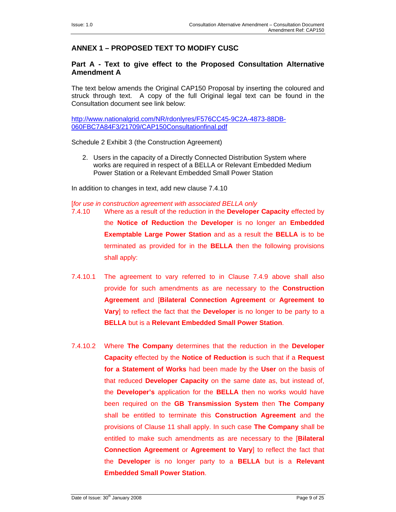# **ANNEX 1 – PROPOSED TEXT TO MODIFY CUSC**

# **Part A - Text to give effect to the Proposed Consultation Alternative Amendment A**

The text below amends the Original CAP150 Proposal by inserting the coloured and struck through text. A copy of the full Original legal text can be found in the Consultation document see link below:

http://www.nationalgrid.com/NR/rdonlyres/F576CC45-9C2A-4873-88DB-060FBC7A84F3/21709/CAP150Consultationfinal.pdf

Schedule 2 Exhibit 3 (the Construction Agreement)

2. Users in the capacity of a Directly Connected Distribution System where works are required in respect of a BELLA or Relevant Embedded Medium Power Station or a Relevant Embedded Small Power Station

In addition to changes in text, add new clause 7.4.10

[*for use in construction agreement with associated BELLA only*

- 7.4.10 Where as a result of the reduction in the **Developer Capacity** effected by the **Notice of Reduction** the **Developer** is no longer an **Embedded Exemptable Large Power Station** and as a result the **BELLA** is to be terminated as provided for in the **BELLA** then the following provisions shall apply:
- 7.4.10.1 The agreement to vary referred to in Clause 7.4.9 above shall also provide for such amendments as are necessary to the **Construction Agreement** and [**Bilateral Connection Agreement** or **Agreement to Vary**] to reflect the fact that the **Developer** is no longer to be party to a **BELLA** but is a **Relevant Embedded Small Power Station**.
- 7.4.10.2 Where **The Company** determines that the reduction in the **Developer Capacity** effected by the **Notice of Reduction** is such that if a **Request for a Statement of Works** had been made by the **User** on the basis of that reduced **Developer Capacity** on the same date as, but instead of, the **Developer's** application for the **BELLA** then no works would have been required on the **GB Transmission System** then **The Company** shall be entitled to terminate this **Construction Agreement** and the provisions of Clause 11 shall apply. In such case **The Company** shall be entitled to make such amendments as are necessary to the [**Bilateral Connection Agreement** or **Agreement to Vary**] to reflect the fact that the **Developer** is no longer party to a **BELLA** but is a **Relevant Embedded Small Power Station**.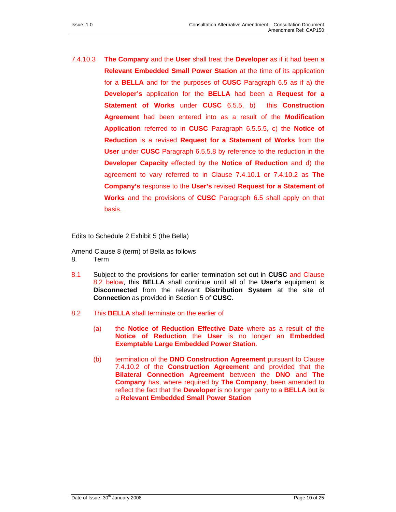7.4.10.3 **The Company** and the **User** shall treat the **Developer** as if it had been a **Relevant Embedded Small Power Station** at the time of its application for a **BELLA** and for the purposes of **CUSC** Paragraph 6.5 as if a) the **Developer's** application for the **BELLA** had been a **Request for a Statement of Works** under **CUSC** 6.5.5, b) this **Construction Agreement** had been entered into as a result of the **Modification Application** referred to in **CUSC** Paragraph 6.5.5.5, c) the **Notice of Reduction** is a revised **Request for a Statement of Works** from the **User** under **CUSC** Paragraph 6.5.5.8 by reference to the reduction in the **Developer Capacity** effected by the **Notice of Reduction** and d) the agreement to vary referred to in Clause 7.4.10.1 or 7.4.10.2 as **The Company's** response to the **User's** revised **Request for a Statement of Works** and the provisions of **CUSC** Paragraph 6.5 shall apply on that basis.

Edits to Schedule 2 Exhibit 5 (the Bella)

Amend Clause 8 (term) of Bella as follows 8. Term

- 8.1 Subject to the provisions for earlier termination set out in **CUSC** and Clause 8.2 below, this **BELLA** shall continue until all of the **User's** equipment is **Disconnected** from the relevant **Distribution System** at the site of **Connection** as provided in Section 5 of **CUSC**.
- 8.2 This **BELLA** shall terminate on the earlier of
	- (a) the **Notice of Reduction Effective Date** where as a result of the **Notice of Reduction** the **User** is no longer an **Embedded Exemptable Large Embedded Power Station**.
	- (b) termination of the **DNO Construction Agreement** pursuant to Clause 7.4.10.2 of the **Construction Agreement** and provided that the **Bilateral Connection Agreement** between the **DNO** and **The Company** has, where required by **The Company**, been amended to reflect the fact that the **Developer** is no longer party to a **BELLA** but is a **Relevant Embedded Small Power Station**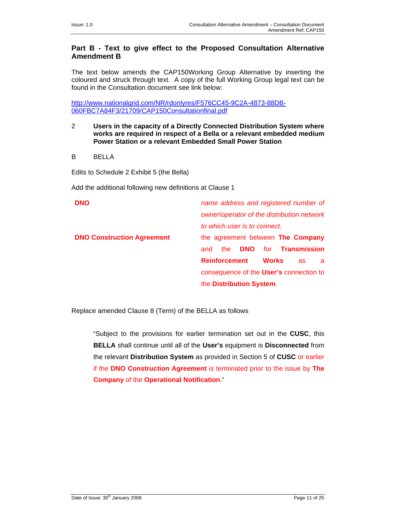# **Part B - Text to give effect to the Proposed Consultation Alternative Amendment B**

The text below amends the CAP150Working Group Alternative by inserting the coloured and struck through text. A copy of the full Working Group legal text can be found in the Consultation document see link below:

http://www.nationalgrid.com/NR/rdonlyres/F576CC45-9C2A-4873-88DB-060FBC7A84F3/21709/CAP150Consultationfinal.pdf

- 2 **Users in the capacity of a Directly Connected Distribution System where works are required in respect of a Bella or a relevant embedded medium Power Station or a relevant Embedded Small Power Station**
- B BELLA

Edits to Schedule 2 Exhibit 5 (the Bella)

Add the additional following new definitions at Clause 1

| <b>DNO</b>                        | name address and registered number of               |
|-----------------------------------|-----------------------------------------------------|
|                                   | owner operator of the distribution network          |
|                                   | to which user is to connect.                        |
| <b>DNO Construction Agreement</b> | the agreement between The Company                   |
|                                   | for <b>Transmission</b><br><b>DNO</b><br>the<br>and |
|                                   | <b>Reinforcement</b><br><b>Works</b><br>as.<br>a    |
|                                   | consequence of the User's connection to             |
|                                   | the Distribution System.                            |

Replace amended Clause 8 (Term) of the BELLA as follows

 "Subject to the provisions for earlier termination set out in the **CUSC**, this **BELLA** shall continue until all of the **User's** equipment is **Disconnected** from the relevant **Distribution System** as provided in Section 5 of **CUSC** or earlier if the **DNO Construction Agreement** is terminated prior to the issue by **The Company** of the **Operational Notification**."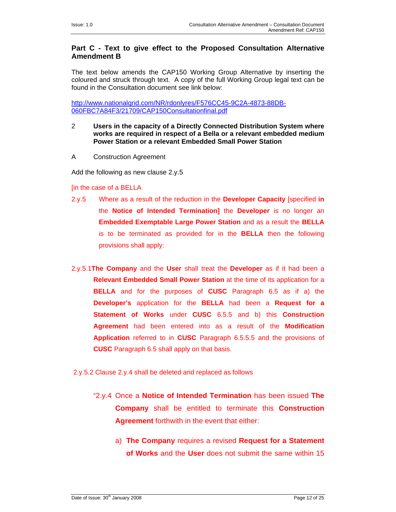# **Part C - Text to give effect to the Proposed Consultation Alternative Amendment B**

The text below amends the CAP150 Working Group Alternative by inserting the coloured and struck through text. A copy of the full Working Group legal text can be found in the Consultation document see link below:

http://www.nationalgrid.com/NR/rdonlyres/F576CC45-9C2A-4873-88DB-060FBC7A84F3/21709/CAP150Consultationfinal.pdf

- 2 **Users in the capacity of a Directly Connected Distribution System where works are required in respect of a Bella or a relevant embedded medium Power Station or a relevant Embedded Small Power Station**
- A Construction Agreement

Add the following as new clause 2.y.5

#### [in the case of a BELLA

- 2.y.5 Where as a result of the reduction in the **Developer Capacity** [specified **in**  the **Notice of Intended Termination]** the **Developer** is no longer an **Embedded Exemptable Large Power Station** and as a result the **BELLA**  is to be terminated as provided for in the **BELLA** then the following provisions shall apply:
- 2.y.5.1**The Company** and the **User** shall treat the **Developer** as if it had been a **Relevant Embedded Small Power Station** at the time of its application for a **BELLA** and for the purposes of **CUSC** Paragraph 6.5 as if a) the **Developer's** application for the **BELLA** had been a **Request for a Statement of Works** under **CUSC** 6.5.5 and b) this **Construction Agreement** had been entered into as a result of the **Modification Application** referred to in **CUSC** Paragraph 6.5.5.5 and the provisions of **CUSC** Paragraph 6.5 shall apply on that basis.

2.y.5.2 Clause 2.y.4 shall be deleted and replaced as follows

- "2.y.4 Once a **Notice of Intended Termination** has been issued **The Company** shall be entitled to terminate this **Construction Agreement** forthwith in the event that either:
	- a) **The Company** requires a revised **Request for a Statement of Works** and the **User** does not submit the same within 15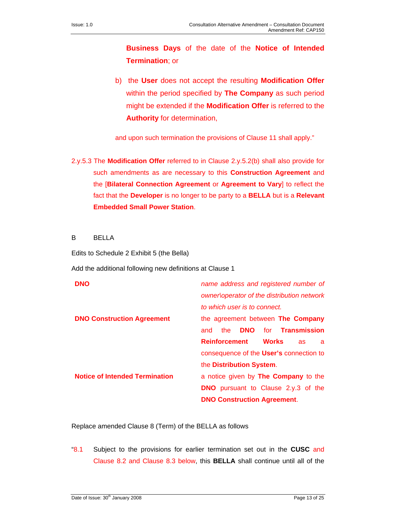**Business Days** of the date of the **Notice of Intended Termination**; or

b) the **User** does not accept the resulting **Modification Offer**  within the period specified by **The Company** as such period might be extended if the **Modification Offer** is referred to the **Authority** for determination,

and upon such termination the provisions of Clause 11 shall apply."

2.y.5.3 The **Modification Offer** referred to in Clause 2.y.5.2(b) shall also provide for such amendments as are necessary to this **Construction Agreement** and the [**Bilateral Connection Agreement** or **Agreement to Vary**] to reflect the fact that the **Developer** is no longer to be party to a **BELLA** but is a **Relevant Embedded Small Power Station**.

B BELLA

Edits to Schedule 2 Exhibit 5 (the Bella)

Add the additional following new definitions at Clause 1

| <b>DNO</b>                            | name address and registered number of               |
|---------------------------------------|-----------------------------------------------------|
|                                       | owner\operator of the distribution network          |
|                                       | to which user is to connect.                        |
| <b>DNO Construction Agreement</b>     | the agreement between The Company                   |
|                                       | <b>DNO</b><br>for <b>Transmission</b><br>the<br>and |
|                                       | <b>Reinforcement</b><br><b>Works</b><br>as.<br>a    |
|                                       | consequence of the User's connection to             |
|                                       | the Distribution System.                            |
| <b>Notice of Intended Termination</b> | a notice given by <b>The Company</b> to the         |
|                                       | <b>DNO</b> pursuant to Clause 2.y.3 of the          |
|                                       | <b>DNO Construction Agreement.</b>                  |

Replace amended Clause 8 (Term) of the BELLA as follows

"8.1 Subject to the provisions for earlier termination set out in the **CUSC** and Clause 8.2 and Clause 8.3 below, this **BELLA** shall continue until all of the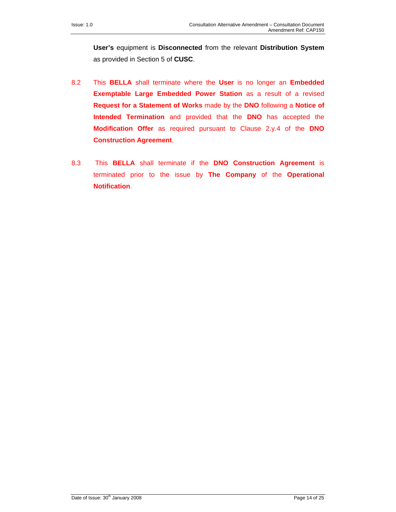**User's** equipment is **Disconnected** from the relevant **Distribution System** as provided in Section 5 of **CUSC**.

- 8.2 This **BELLA** shall terminate where the **User** is no longer an **Embedded Exemptable Large Embedded Power Station** as a result of a revised **Request for a Statement of Works** made by the **DNO** following a **Notice of Intended Termination** and provided that the **DNO** has accepted the **Modification Offer** as required pursuant to Clause 2.y.4 of the **DNO Construction Agreement**.
- 8.3 This **BELLA** shall terminate if the **DNO Construction Agreement** is terminated prior to the issue by **The Company** of the **Operational Notification**.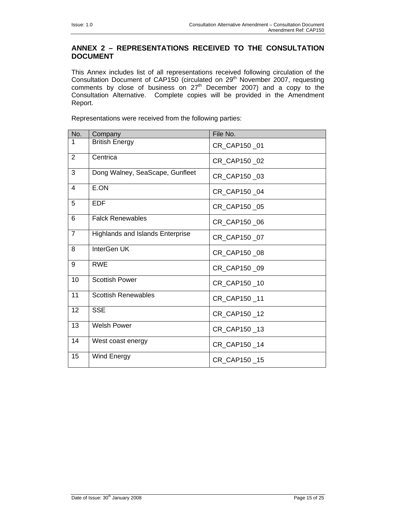# **ANNEX 2 – REPRESENTATIONS RECEIVED TO THE CONSULTATION DOCUMENT**

This Annex includes list of all representations received following circulation of the Consultation Document of CAP150 (circulated on 29<sup>th</sup> November 2007, requesting comments by close of business on  $27<sup>th</sup>$  December 2007) and a copy to the Consultation Alternative. Complete copies will be provided in the Amendment Report.

Representations were received from the following parties:

| No.            | Company                                 | File No.     |
|----------------|-----------------------------------------|--------------|
| 1              | <b>British Energy</b>                   | CR_CAP150_01 |
| $\overline{2}$ | Centrica                                | CR CAP150 02 |
| 3              | Dong Walney, SeaScape, Gunfleet         | CR CAP150 03 |
| 4              | E.ON                                    | CR_CAP150_04 |
| 5              | <b>EDF</b>                              | CR_CAP150_05 |
| 6              | <b>Falck Renewables</b>                 | CR_CAP150_06 |
| $\overline{7}$ | <b>Highlands and Islands Enterprise</b> | CR CAP150 07 |
| 8              | InterGen UK                             | CR CAP150 08 |
| 9              | <b>RWE</b>                              | CR_CAP150_09 |
| 10             | <b>Scottish Power</b>                   | CR_CAP150_10 |
| 11             | <b>Scottish Renewables</b>              | CR CAP150 11 |
| 12             | <b>SSE</b>                              | CR_CAP150_12 |
| 13             | <b>Welsh Power</b>                      | CR_CAP150_13 |
| 14             | West coast energy                       | CR_CAP150_14 |
| 15             | Wind Energy                             | CR_CAP150_15 |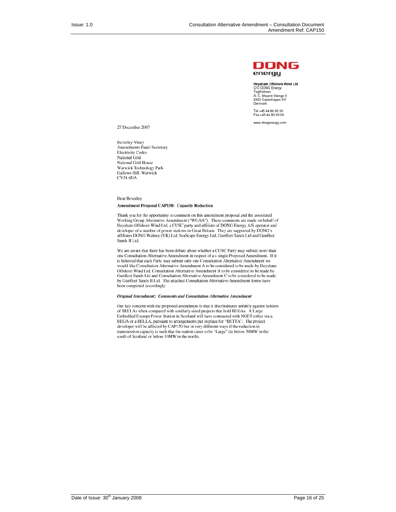

Heysham Offshore Wind Ltd<br>C/O DONG Energy Cro Dorva Eriergy<br>Teglholmen<br>A. C. Meyers Vænge 9<br>2450 Copenhagen SV Denmark

Tel +45 44 80 60 00<br>Fax +45 44 80 60 00

www.dongenergy.com

27 December 2007

**Beverley Viney Amendments Panel Secretary Electricity Codes** National Grid National Grid House Warwick Technology Park Gallows Hill, Warwick **CV34 6DA** 

#### Dear Beverley **Amendment Proposal CAP150: Capacity Reduction**

Thank you for the opportunity to comment on this amendment proposal and the associated Working Group Alternative Amendment ("WGAA"). These comments are made on behalf of Heysham Offshore Wind Ltd, a CUSC party and affiliate of DONG Energy A/S operator and developer of a number of power stations in Great Britain. They are supported by DONG's affiliates DONG Walney (UK) Ltd, SeaScape Energy Ltd, Gunfleet Sands Ltd and Gunfleet Sands II Ltd.

We are aware that there has been debate about whether a CUSC Party may submit more than one Consultation Alternative Amendment in respect of a s single Proposed Amendment. If it is believed that each Party may submit only one Consultation Alternative Amendment we would like Consultation Alternative Amendment A to be considered to be made by Heysham Offshore Wind Ltd, Consultation Alternative Amendment B to be considered to be made by Gunfleet Sands Ltd and Consultation Alternative Amendment C to be considered to be made by Gunfleet Sands II Ltd. The attached Consultation Alternative Amendment forms have been completed accordingly

#### Original Amendment: Comments and Consultation Alternative Amendment

Our key concern with the proposed amendment is that it discriminates unfairly against holders of BELLAs when compared with similarly sized projects that hold BEGAs. A Large Embedded Exempt Power Station in Scotland will have contracted with NGET either via a BEGA or a BELLA, pursuant to arrangements put in place for "BETTA". The project developer will be affected by CAP150 but in very different ways if the reduction in transmission capacity is such that the station cases to be "Large" (ie below 30MW in the south of Scotland or below 10MW in the north).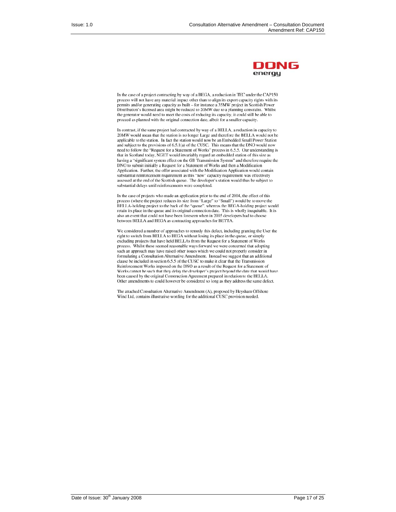

In the case of a project contracting by way of a BEGA, a reduction in TEC under the CAP150 process will not have any material impact other than to align its export capacity rights with its permits and/or generating capacity as built – for instance a 35MW project in Scottish Power Distribution's licensed area might be reduced to 20MW due to a planning constraint. Whilst the generator would need to meet the costs of reducing its capacity, it could still be able to proceed as planned with the original connection date, albeit for a smaller capacity.

In contrast, if the same project had contracted by way of a BELLA, a reduction in capacity to 20MW would mean that the station is no longer Large and therefore the BELLA would not be applicable to the station. In fact the station would now be an Embedded Small Power Station and subject to the provisions of 6.5.1(a) of the CUSC. This means that the DNO would now need to follow the "Request for a Statement of Works" process in 6.5.5. Our understanding is that in Scotland today, NGET would invariably regard an embedded station of this size as having a "significant system effect on the GB Transmission System" and therefore require the DNO to submit initially a Request for a Statement of Works and then a Modification Application. Further, the offer associated with the Modification Application would contain substantial reinforcement requirement as this "new" capacity requirement was effectively assessed at the end of the Scottish queue. The developer's station would thus be subject to substantial delays until reinforcements were completed.

In the case of projects who made an application prior to the end of 2004, the effect of this process (where the project reduces its size from "Large" to "Small") would be to move the BELLA-holding project to the back of the "queue", whereas the BEGA-holding project would<br>retain its place in the queue and its original connection date. This is wholly inequitable. It is also an event that could not have been foreseen when in 2005 developers had to choose between BELLA and BEGA as contracting approaches for BETTA.

We considered a number of approaches to remedy this defect, including granting the User the right to switch from BELLA to BEGA without losing its place in the queue, or simply excluding projects that have held BELLAs from the Request for a Statement of Works process. Whilst these seemed reasonable ways forward we were concerned that adopting such an approach may have raised other issues which we could not properly consider in formulating a Consultation Alternative Amendment. Instead we suggest that an additional clause be included in section 6.5.5 of the CUSC to make it clear that the Transmission Reinforcement Works imposed on the DNO as a result of the Request for a Statement of Works cannot be such that they delay the developer's project beyond the date that would have been caused by the original Construction Agreement prepared in relation to the BELLA. Other amendments to could however be considered so long as they address the same defect.

The attached Consultation Alternative Amendment (A), proposed by Heysham Offshore Wind Ltd, contains illustrative wording for the additional CUSC provision needed.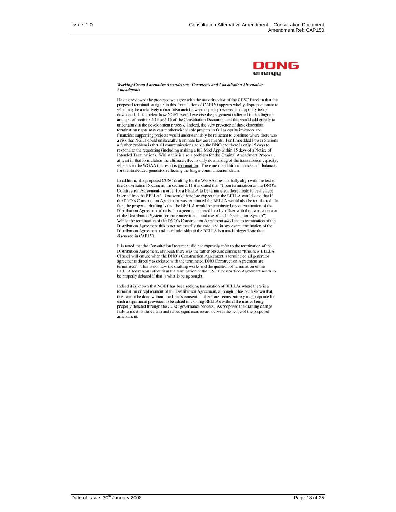

#### Working Group Alternative Amendment: Comments and Consultation Alternative **Amendments**

Having reviewed the proposed we agree with the majority view of the CUSC Panel in that the proposed termination rights in this formulation of CAP150 appears wholly disproportionate to what may be a relatively minor mismatch between capacity reserved and capacity being developed. It is unclear how NGET would exercise the judgement indicated in the diagram and text of sections 5.13 to 5.16 of the Consultation Document and this would add greatly to uncertainty in the development process. Indeed, the very presence of these draconian termination rights may cause otherwise viable projects to fail as equity investors and financiers supporting projects would understandably be reluctant to continue where there was a risk that NGET could unilaterally terminate key agreements. For Embedded Power Stations a further problem is that all communications go via the DNO and there is only 15 days to respond to the requesting (including making a full Mod App within 15 days of a Notice of Intended Termination). Whilst this is also a problem for the Original Amendment Proposal, at least in that formulation the ultimate effect is only downsizing of the transmission capacity, whereas in the WGAA the result is termination. There are no additional checks and balances for the Embedded generator reflecting the longer communication chain.

In addition, the proposed CUSC drafting for the WGAA does not fully align with the text of the Consultation Document. In section 5.11 it is stated that "Upon termination of the DNO's Construction Agreement, in order for a BELLA to be terminated, there needs to be a clause inserted into the BELLA". One would therefore expect that the BELLA would state that if the DNO's Construction Agreement was terminated the BELLA would also be terminated. In fact, the proposed drafting is that the BELLA would be terminated upon termination of the<br>Distribution Agreement (that is "an agreement entered into by a User with the owner/operator of the Distribution System for the connection ... and use of such Distribution System"). Whilst the termination of the DNO's Construction Agreement may lead to termination of the Distribution Agreement this is not necessarily the case, and in any event termination of the Distribution Agreement and its relationship to the BELLA is a much bigger issue than discussed in CAP150.

It is noted that the Consultation Document did not expressly refer to the termination of the Distribution Agreement, although there was the rather obscure comment "[this new BELLA Clause] will ensure when the DNO's Construction Agreement is terminated all generator agreements directly associated with the terminated DNO Construction Agreement are terminated". This is not how the drafting works and the question of termination of the BELLA for reasons other than the termination of the DNO Construction Agreement needs to be properly debated if that is what is being sought.

Indeed it is known that NGET has been seeking termination of BELLAs where there is a termination or replacement of the Distribution Agreement, although it has been shown that this cannot be done without the User's consent. It therefore seems entirely inappropriate for such a significant provision to be added to existing BELLAs without the matter being properly debated through the CUSC governance process. As proposed the drafting change fails to meet its stated aim and raises significant issues outwith the scope of the proposed amendment.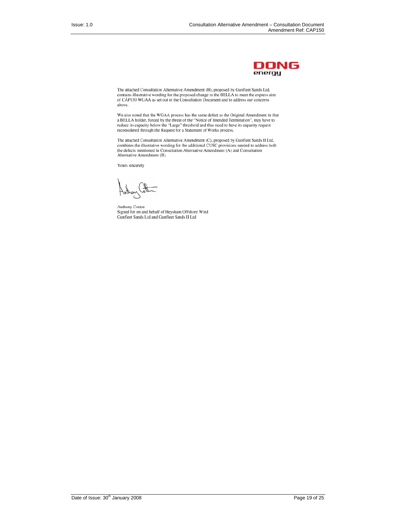

The attached Consultation Alternative Amendment (B), proposed by Gunfleet Sands Ltd, contains illustrative wording for the proposed change to the BELLA to meet the express aim<br>of CAP150 WGAA as set out in the Consultation Document and to address our concerns above.

We also noted that the WGAA process has the same defect as the Original Amendment in that a BELLA holder, forced by the threat of the "Notice of Intended Termination", may have to reduce its capacity below the "Large" thre reconsidered through the Request for a Statement of Works process.

The attached Consultation Alternative Amendment (C), proposed by Gunfleet Sands II Ltd, combines the illustrative wording for the additional CUSC provisions needed to address both the defects mentioned in Consultation Alternative Amendment (A) and Consultation Alternative Amendment (B).

Yours sincerely

Anthony Cotton Signed for on and behalf of Heysham Offshore Wind Gunfleet Sands Ltd and Gunfleet Sands II Ltd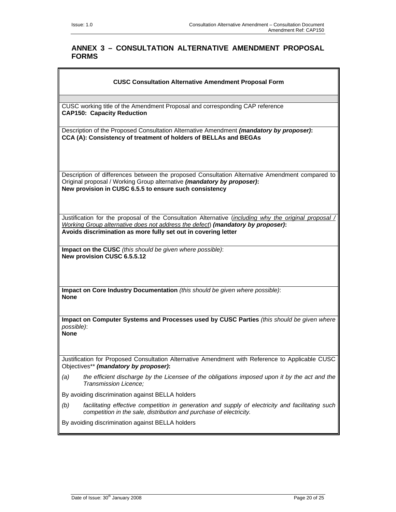# **ANNEX 3 – CONSULTATION ALTERNATIVE AMENDMENT PROPOSAL FORMS**

#### **CUSC Consultation Alternative Amendment Proposal Form**

CUSC working title of the Amendment Proposal and corresponding CAP reference **CAP150: Capacity Reduction**

Description of the Proposed Consultation Alternative Amendment *(mandatory by proposer)***: CCA (A): Consistency of treatment of holders of BELLAs and BEGAs**

Description of differences between the proposed Consultation Alternative Amendment compared to Original proposal / Working Group alternative *(mandatory by proposer)***: New provision in CUSC 6.5.5 to ensure such consistency** 

Justification for the proposal of the Consultation Alternative (*including why the original proposal / Working Group alternative does not address the defect*) *(mandatory by proposer)***: Avoids discrimination as more fully set out in covering letter**

**Impact on the CUSC** *(this should be given where possible)*: **New provision CUSC 6.5.5.12** 

**Impact on Core Industry Documentation** *(this should be given where possible)*: **None**

**Impact on Computer Systems and Processes used by CUSC Parties** *(this should be given where possible)*: **None**

Justification for Proposed Consultation Alternative Amendment with Reference to Applicable CUSC Objectives\*\* *(mandatory by proposer)***:**

*(a) the efficient discharge by the Licensee of the obligations imposed upon it by the act and the Transmission Licence;* 

By avoiding discrimination against BELLA holders

*(b) facilitating effective competition in generation and supply of electricity and facilitating such competition in the sale, distribution and purchase of electricity.* 

By avoiding discrimination against BELLA holders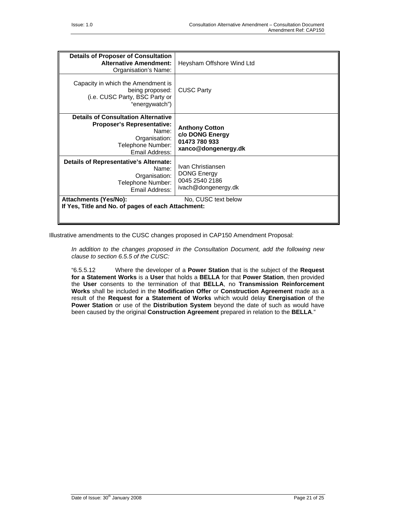| <b>Details of Proposer of Consultation</b><br><b>Alternative Amendment:</b><br>Organisation's Name:                                              | Heysham Offshore Wind Ltd                                                        |
|--------------------------------------------------------------------------------------------------------------------------------------------------|----------------------------------------------------------------------------------|
| Capacity in which the Amendment is<br>being proposed:<br>(i.e. CUSC Party, BSC Party or<br>"energywatch")                                        | <b>CUSC Party</b>                                                                |
| <b>Details of Consultation Alternative</b><br><b>Proposer's Representative:</b><br>Name:<br>Organisation:<br>Telephone Number:<br>Email Address: | <b>Anthony Cotton</b><br>c/o DONG Energy<br>01473 780 933<br>xanco@dongenergy.dk |
| Details of Representative's Alternate:<br>Name:<br>Organisation:<br>Telephone Number:<br>Email Address:                                          | Ivan Christiansen<br><b>DONG Energy</b><br>0045 2540 2186<br>ivach@dongenergy.dk |
| <b>Attachments (Yes/No):</b><br>No, CUSC text below<br>If Yes, Title and No. of pages of each Attachment:                                        |                                                                                  |
|                                                                                                                                                  |                                                                                  |

Illustrative amendments to the CUSC changes proposed in CAP150 Amendment Proposal:

*In addition to the changes proposed in the Consultation Document, add the following new clause to section 6.5.5 of the CUSC:* 

"6.5.5.12 Where the developer of a **Power Station** that is the subject of the **Request for a Statement Works** is a **User** that holds a **BELLA** for that **Power Station**, then provided the **User** consents to the termination of that **BELLA**, no **Transmission Reinforcement Works** shall be included in the **Modification Offer** or **Construction Agreement** made as a result of the **Request for a Statement of Works** which would delay **Energisation** of the **Power Station** or use of the **Distribution System** beyond the date of such as would have been caused by the original **Construction Agreement** prepared in relation to the **BELLA**."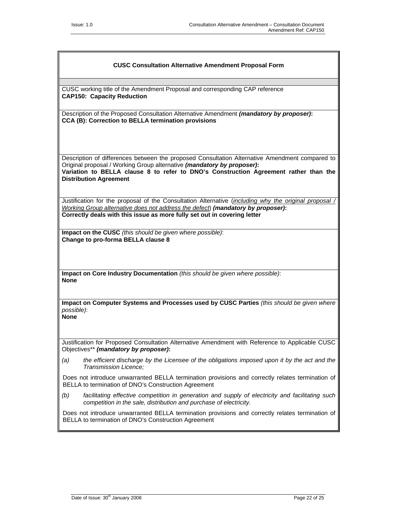#### **CUSC Consultation Alternative Amendment Proposal Form**

CUSC working title of the Amendment Proposal and corresponding CAP reference **CAP150: Capacity Reduction**

Description of the Proposed Consultation Alternative Amendment *(mandatory by proposer)***: CCA (B): Correction to BELLA termination provisions**

Description of differences between the proposed Consultation Alternative Amendment compared to Original proposal / Working Group alternative *(mandatory by proposer)***: Variation to BELLA clause 8 to refer to DNO's Construction Agreement rather than the Distribution Agreement**

Justification for the proposal of the Consultation Alternative (*including why the original proposal / Working Group alternative does not address the defect*) *(mandatory by proposer)***: Correctly deals with this issue as more fully set out in covering letter**

**Impact on the CUSC** *(this should be given where possible)*: **Change to pro-forma BELLA clause 8** 

**Impact on Core Industry Documentation** *(this should be given where possible)*: **None**

**Impact on Computer Systems and Processes used by CUSC Parties** *(this should be given where possible)*: **None**

Justification for Proposed Consultation Alternative Amendment with Reference to Applicable CUSC Objectives\*\* *(mandatory by proposer)***:**

*(a) the efficient discharge by the Licensee of the obligations imposed upon it by the act and the Transmission Licence;* 

Does not introduce unwarranted BELLA termination provisions and correctly relates termination of BELLA to termination of DNO's Construction Agreement

*(b) facilitating effective competition in generation and supply of electricity and facilitating such competition in the sale, distribution and purchase of electricity.* 

Does not introduce unwarranted BELLA termination provisions and correctly relates termination of BELLA to termination of DNO's Construction Agreement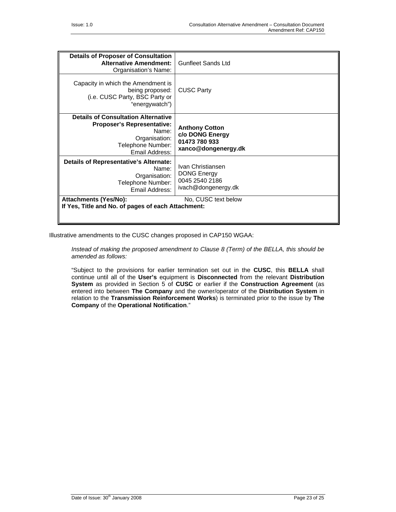| <b>Details of Proposer of Consultation</b><br><b>Alternative Amendment:</b><br>Organisation's Name:                            | Gunfleet Sands Ltd                                                               |
|--------------------------------------------------------------------------------------------------------------------------------|----------------------------------------------------------------------------------|
| Capacity in which the Amendment is<br>being proposed:<br>(i.e. CUSC Party, BSC Party or<br>"energywatch")                      | <b>CUSC Party</b>                                                                |
| <b>Details of Consultation Alternative</b><br><b>Proposer's Representative:</b><br>Name:<br>Organisation:<br>Telephone Number: | <b>Anthony Cotton</b><br>c/o DONG Energy<br>01473 780 933                        |
| Email Address:                                                                                                                 | xanco@dongenergy.dk                                                              |
| Details of Representative's Alternate:<br>Name:<br>Organisation:<br>Telephone Number:<br>Email Address:                        | Ivan Christiansen<br><b>DONG Energy</b><br>0045 2540 2186<br>ivach@dongenergy.dk |
| <b>Attachments (Yes/No):</b><br>No, CUSC text below                                                                            |                                                                                  |
| If Yes, Title and No. of pages of each Attachment:                                                                             |                                                                                  |

Illustrative amendments to the CUSC changes proposed in CAP150 WGAA:

*Instead of making the proposed amendment to Clause 8 (Term) of the BELLA, this should be amended as follows:* 

"Subject to the provisions for earlier termination set out in the **CUSC**, this **BELLA** shall continue until all of the **User's** equipment is **Disconnected** from the relevant **Distribution System** as provided in Section 5 of **CUSC** or earlier if the **Construction Agreement** (as entered into between **The Company** and the owner/operator of the **Distribution System** in relation to the **Transmission Reinforcement Works**) is terminated prior to the issue by **The Company** of the **Operational Notification**."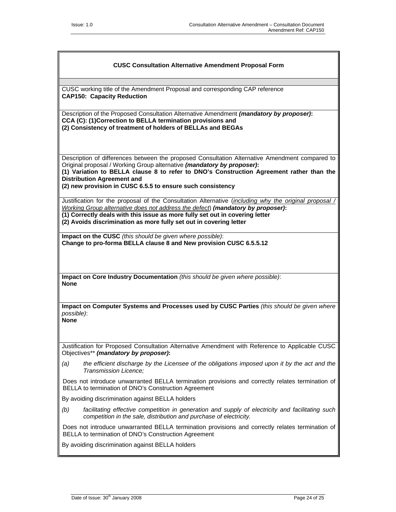#### **CUSC Consultation Alternative Amendment Proposal Form**

CUSC working title of the Amendment Proposal and corresponding CAP reference **CAP150: Capacity Reduction**

Description of the Proposed Consultation Alternative Amendment *(mandatory by proposer)***: CCA (C): (1)Correction to BELLA termination provisions and (2) Consistency of treatment of holders of BELLAs and BEGAs**

Description of differences between the proposed Consultation Alternative Amendment compared to Original proposal / Working Group alternative *(mandatory by proposer)***:** 

**(1) Variation to BELLA clause 8 to refer to DNO's Construction Agreement rather than the Distribution Agreement and** 

**(2) new provision in CUSC 6.5.5 to ensure such consistency** 

Justification for the proposal of the Consultation Alternative (*including why the original proposal / Working Group alternative does not address the defect*) *(mandatory by proposer)***:**

**(1) Correctly deals with this issue as more fully set out in covering letter** 

**(2) Avoids discrimination as more fully set out in covering letter**

**Impact on the CUSC** *(this should be given where possible)*: **Change to pro-forma BELLA clause 8 and New provision CUSC 6.5.5.12** 

**Impact on Core Industry Documentation** *(this should be given where possible)*: **None**

**Impact on Computer Systems and Processes used by CUSC Parties** *(this should be given where possible)*: **None**

Justification for Proposed Consultation Alternative Amendment with Reference to Applicable CUSC Objectives\*\* *(mandatory by proposer)***:**

*(a) the efficient discharge by the Licensee of the obligations imposed upon it by the act and the Transmission Licence;* 

Does not introduce unwarranted BELLA termination provisions and correctly relates termination of BELLA to termination of DNO's Construction Agreement

By avoiding discrimination against BELLA holders

*(b) facilitating effective competition in generation and supply of electricity and facilitating such competition in the sale, distribution and purchase of electricity.* 

Does not introduce unwarranted BELLA termination provisions and correctly relates termination of BELLA to termination of DNO's Construction Agreement

By avoiding discrimination against BELLA holders